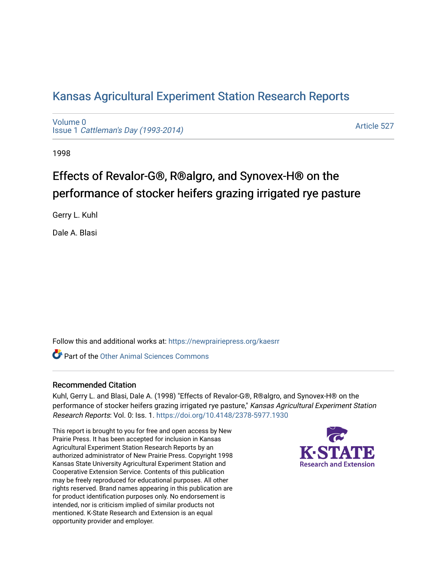# [Kansas Agricultural Experiment Station Research Reports](https://newprairiepress.org/kaesrr)

[Volume 0](https://newprairiepress.org/kaesrr/vol0) Issue 1 [Cattleman's Day \(1993-2014\)](https://newprairiepress.org/kaesrr/vol0/iss1) 

[Article 527](https://newprairiepress.org/kaesrr/vol0/iss1/527) 

1998

# Effects of Revalor-G®, R®algro, and Synovex-H® on the performance of stocker heifers grazing irrigated rye pasture

Gerry L. Kuhl

Dale A. Blasi

Follow this and additional works at: [https://newprairiepress.org/kaesrr](https://newprairiepress.org/kaesrr?utm_source=newprairiepress.org%2Fkaesrr%2Fvol0%2Fiss1%2F527&utm_medium=PDF&utm_campaign=PDFCoverPages) 

**C** Part of the [Other Animal Sciences Commons](http://network.bepress.com/hgg/discipline/82?utm_source=newprairiepress.org%2Fkaesrr%2Fvol0%2Fiss1%2F527&utm_medium=PDF&utm_campaign=PDFCoverPages)

## Recommended Citation

Kuhl, Gerry L. and Blasi, Dale A. (1998) "Effects of Revalor-G®, R®algro, and Synovex-H® on the performance of stocker heifers grazing irrigated rye pasture," Kansas Agricultural Experiment Station Research Reports: Vol. 0: Iss. 1.<https://doi.org/10.4148/2378-5977.1930>

This report is brought to you for free and open access by New Prairie Press. It has been accepted for inclusion in Kansas Agricultural Experiment Station Research Reports by an authorized administrator of New Prairie Press. Copyright 1998 Kansas State University Agricultural Experiment Station and Cooperative Extension Service. Contents of this publication may be freely reproduced for educational purposes. All other rights reserved. Brand names appearing in this publication are for product identification purposes only. No endorsement is intended, nor is criticism implied of similar products not mentioned. K-State Research and Extension is an equal opportunity provider and employer.

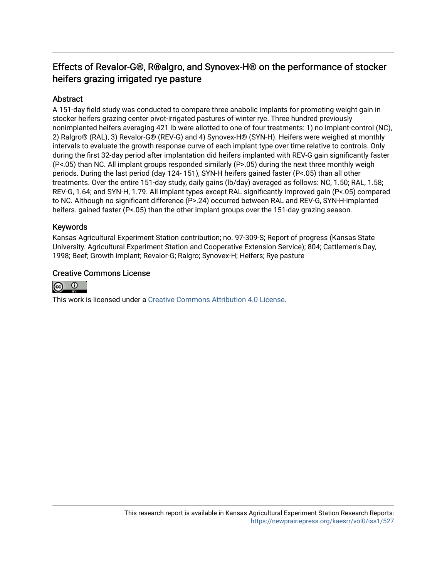# Effects of Revalor-G®, R®algro, and Synovex-H® on the performance of stocker heifers grazing irrigated rye pasture

## Abstract

A 151-day field study was conducted to compare three anabolic implants for promoting weight gain in stocker heifers grazing center pivot-irrigated pastures of winter rye. Three hundred previously nonimplanted heifers averaging 421 lb were allotted to one of four treatments: 1) no implant-control (NC), 2) Ralgro® (RAL), 3) Revalor-G® (REV-G) and 4) Synovex-H® (SYN-H). Heifers were weighed at monthly intervals to evaluate the growth response curve of each implant type over time relative to controls. Only during the first 32-day period after implantation did heifers implanted with REV-G gain significantly faster (P<.05) than NC. All implant groups responded similarly (P>.05) during the next three monthly weigh periods. During the last period (day 124- 151), SYN-H heifers gained faster (P<.05) than all other treatments. Over the entire 151-day study, daily gains (lb/day) averaged as follows: NC, 1.50; RAL, 1.58; REV-G, 1.64; and SYN-H, 1.79. All implant types except RAL significantly improved gain (P<.05) compared to NC. Although no significant difference (P>.24) occurred between RAL and REV-G, SYN-H-implanted heifers, gained faster (P<.05) than the other implant groups over the 151-day grazing season.

## Keywords

Kansas Agricultural Experiment Station contribution; no. 97-309-S; Report of progress (Kansas State University. Agricultural Experiment Station and Cooperative Extension Service); 804; Cattlemen's Day, 1998; Beef; Growth implant; Revalor-G; Ralgro; Synovex-H; Heifers; Rye pasture

#### Creative Commons License



This work is licensed under a [Creative Commons Attribution 4.0 License](https://creativecommons.org/licenses/by/4.0/).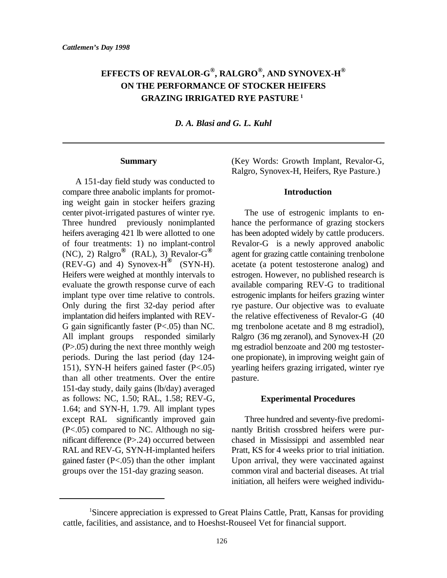## **EFFECTS OF REVALOR-G , RALGRO , AND SYNOVEX-H ® ® ® ON THE PERFORMANCE OF STOCKER HEIFERS GRAZING IRRIGATED RYE PASTURE <sup>1</sup>**

*D. A. Blasi and G. L. Kuhl*

#### **Summary**

A 151-day field study was conducted to compare three anabolic implants for promoting weight gain in stocker heifers grazing center pivot-irrigated pastures of winter rye. The use of estrogenic implants to en-Three hundred previously nonimplanted hance the performance of grazing stockers heifers averaging 421 lb were allotted to one has been adopted widely by cattle producers. of four treatments: 1) no implant-control Revalor-G is a newly approved anabolic (NC), 2) Ralgro<sup><sup>®</sup> (RAL), 3) Revalor-G<sup>®</sup> agent for grazing cattle containing trenbolone</sup>  $(REV-G)$  and 4) Synovex-H<sup>®</sup> (SYN-H). acetate (a potent testosterone analog) and Heifers were weighed at monthly intervals to estrogen. However, no published research is evaluate the growth response curve of each available comparing REV-G to traditional implant type over time relative to controls. estrogenic implants for heifers grazing winter Only during the first 32-day period after rye pasture. Our objective was to evaluate implantation did heifers implanted with REV- the relative effectiveness of Revalor-G (40 G gain significantly faster (P<.05) than NC. mg trenbolone acetate and 8 mg estradiol), All implant groups responded similarly Ralgro (36 mg zeranol), and Synovex-H (20 (P>.05) during the next three monthly weigh mg estradiol benzoate and 200 mg testosterperiods. During the last period (day 124- one propionate), in improving weight gain of 151), SYN-H heifers gained faster (P<.05) yearling heifers grazing irrigated, winter rye than all other treatments. Over the entire pasture. 151-day study, daily gains (lb/day) averaged as follows: NC, 1.50; RAL, 1.58; REV-G, 1.64; and SYN-H, 1.79. All implant types except RAL significantly improved gain Three hundred and seventy-five predomi- (P<.05) compared to NC. Although no sig- nantly British crossbred heifers were purnificant difference (P>.24) occurred between chased in Mississippi and assembled near RAL and REV-G, SYN-H-implanted heifers Pratt, KS for 4 weeks prior to trial initiation. gained faster  $(P<.05)$  than the other implant Upon arrival, they were vaccinated against groups over the 151-day grazing season. common viral and bacterial diseases. At trial

(Key Words: Growth Implant, Revalor-G, Ralgro, Synovex-H, Heifers, Rye Pasture.)

#### **Introduction**

#### **Experimental Procedures**

initiation, all heifers were weighed individu-

Sincere appreciation is expressed to Great Plains Cattle, Pratt, Kansas for providing <sup>1</sup> cattle, facilities, and assistance, and to Hoeshst-Rouseel Vet for financial support.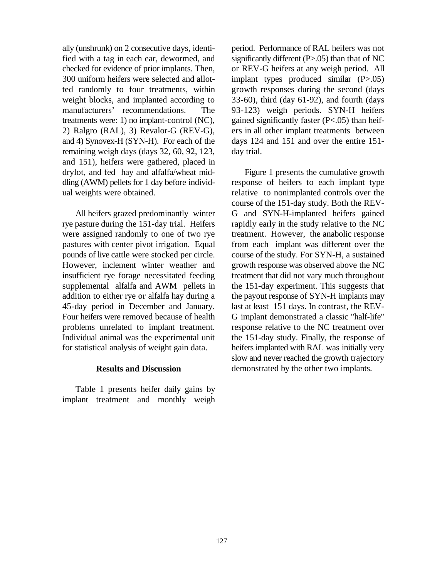ally (unshrunk) on 2 consecutive days, identi- period. Performance of RAL heifers was not fied with a tag in each ear, dewormed, and significantly different (P>.05) than that of NC checked for evidence of prior implants. Then, or REV-G heifers at any weigh period. All 300 uniform heifers were selected and allot- implant types produced similar (P>.05) ted randomly to four treatments, within growth responses during the second (days weight blocks, and implanted according to 33-60), third (day 61-92), and fourth (days manufacturers' recommendations. The 93-123) weigh periods. SYN-H heifers treatments were: 1) no implant-control (NC), gained significantly faster (P<.05) than heif-2) Ralgro (RAL), 3) Revalor-G (REV-G), ers in all other implant treatments between and 4) Synovex-H (SYN-H). For each of the days 124 and 151 and over the entire 151 remaining weigh days (days 32, 60, 92, 123, day trial. and 151), heifers were gathered, placed in drylot, and fed hay and alfalfa/wheat mid- Figure 1 presents the cumulative growth dling (AWM) pellets for 1 day before individ- response of heifers to each implant type ual weights were obtained. The relative to nonimplanted controls over the

rye pasture during the 151-day trial. Heifers rapidly early in the study relative to the NC were assigned randomly to one of two rye treatment. However, the anabolic response pastures with center pivot irrigation. Equal from each implant was different over the pounds of live cattle were stocked per circle. course of the study. For SYN-H, a sustained However, inclement winter weather and growth response was observed above the NC insufficient rye forage necessitated feeding treatment that did not vary much throughout supplemental alfalfa and AWM pellets in the 151-day experiment. This suggests that addition to either rye or alfalfa hay during a the payout response of SYN-H implants may 45-day period in December and January. last at least 151 days. In contrast, the REV-Four heifers were removed because of health G implant demonstrated a classic "half-life" problems unrelated to implant treatment. response relative to the NC treatment over Individual animal was the experimental unit the 151-day study. Finally, the response of for statistical analysis of weight gain data. heifers implanted with RAL was initially very

#### **Results and Discussion**

Table 1 presents heifer daily gains by implant treatment and monthly weigh

All heifers grazed predominantly winter G and SYN-H-implanted heifers gained course of the 151-day study. Both the REVslow and never reached the growth trajectory demonstrated by the other two implants.